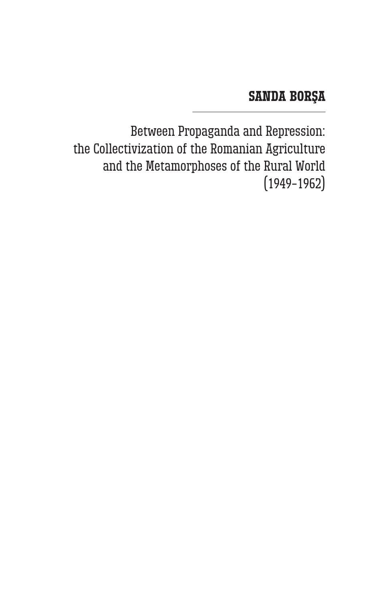## **Sanda Borşa**

Between Propaganda and Repression: the Collectivization of the Romanian Agriculture and the Metamorphoses of the Rural World (1949–1962)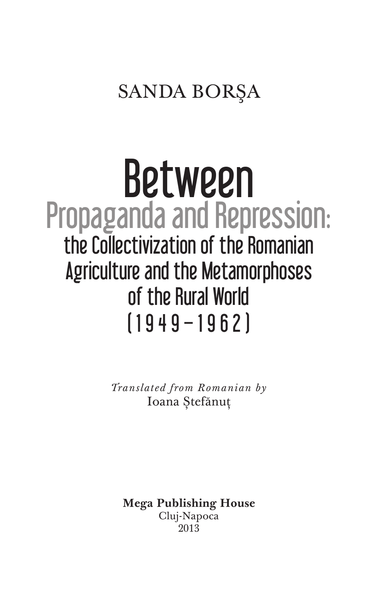## Sanda Borşa

# Between Propaganda and Repression: the Collectivization of the Romanian Agriculture and the Metamorphoses of the Rural World (1949–1962)

*Translated from Romanian by*  Ioana Ștefănuț

**Mega Publishing House** Cluj-Napoca 2013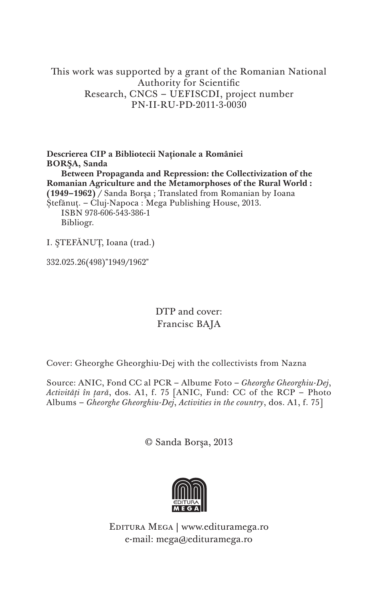This work was supported by a grant of the Romanian National Authority for Scientific Research, CNCS – UEFISCDI, project number PN-II-RU-PD-2011-3-0030

**Descrierea CIP a Bibliotecii Naţionale a României BORŞA, Sanda Between Propaganda and Repression: the Collectivization of the Romanian Agriculture and the Metamorphoses of the Rural World : (1949–1962)** / Sanda Borşa ; Translated from Romanian by Ioana Ștefănuț. – Cluj-Napoca : Mega Publishing House, 2013. ISBN 978-606-543-386-1 Bibliogr.

I. ŞTEFĂNUŢ, Ioana (trad.)

332.025.26(498)"1949/1962"

DTP and cover: Francisc BAJA

Cover: Gheorghe Gheorghiu-Dej with the collectivists from Nazna

Source: ANIC, Fond CC al PCR – Albume Foto – *Gheorghe Gheorghiu-Dej*, *Activități în țară*, dos. A1, f. 75 [ANIC, Fund: CC of the RCP – Photo Albums – *Gheorghe Gheorghiu-Dej*, *Activities in the country*, dos. A1, f. 75]

© Sanda Borşa, 2013



Editura Mega | www.edituramega.ro e-mail: mega@edituramega.ro